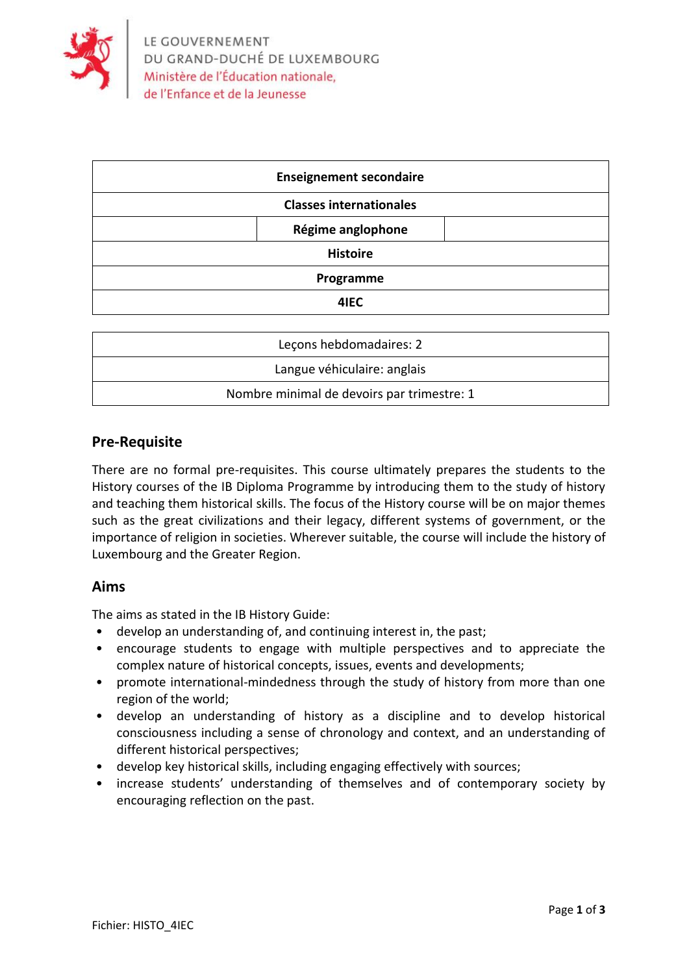

| <b>Enseignement secondaire</b> |                   |  |
|--------------------------------|-------------------|--|
| <b>Classes internationales</b> |                   |  |
|                                | Régime anglophone |  |
| <b>Histoire</b>                |                   |  |
| Programme                      |                   |  |
|                                | 4IEC              |  |

| Lecons hebdomadaires: 2                    |  |  |
|--------------------------------------------|--|--|
| Langue véhiculaire: anglais                |  |  |
| Nombre minimal de devoirs par trimestre: 1 |  |  |

#### **Pre-Requisite**

There are no formal pre-requisites. This course ultimately prepares the students to the History courses of the IB Diploma Programme by introducing them to the study of history and teaching them historical skills. The focus of the History course will be on major themes such as the great civilizations and their legacy, different systems of government, or the importance of religion in societies. Wherever suitable, the course will include the history of Luxembourg and the Greater Region.

#### **Aims**

The aims as stated in the IB History Guide:

- develop an understanding of, and continuing interest in, the past;
- encourage students to engage with multiple perspectives and to appreciate the complex nature of historical concepts, issues, events and developments;
- promote international-mindedness through the study of history from more than one region of the world;
- develop an understanding of history as a discipline and to develop historical consciousness including a sense of chronology and context, and an understanding of different historical perspectives;
- develop key historical skills, including engaging effectively with sources;
- increase students' understanding of themselves and of contemporary society by encouraging reflection on the past.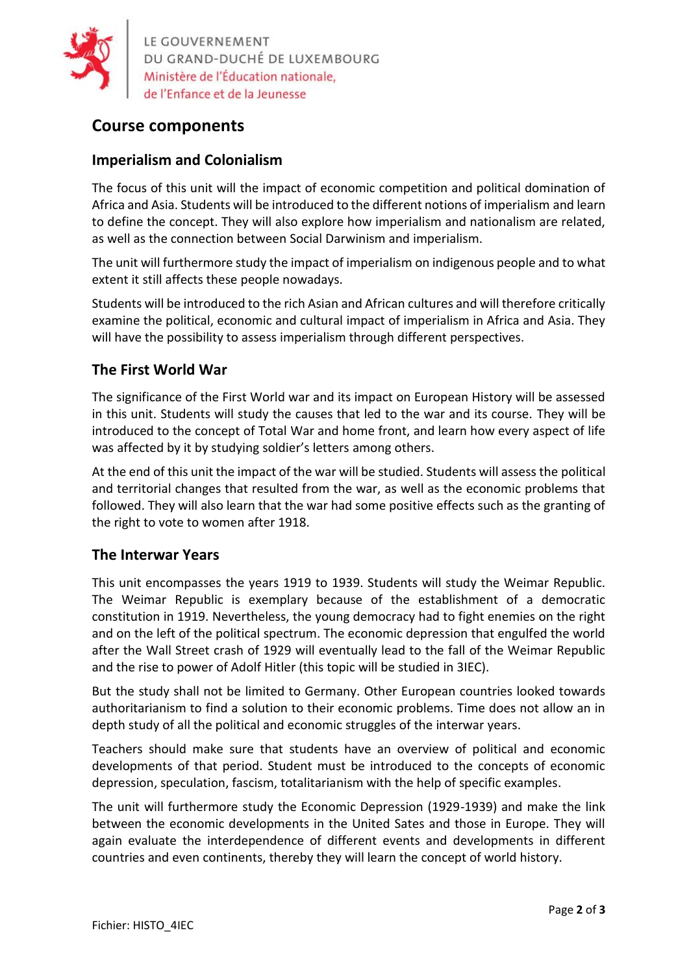

LE GOUVERNEMENT<br>DU GRAND-DUCHÉ DE LUXEMBOURG<br>Ministère de l'Éducation nationale,

# **Course components**

## **Imperialism and Colonialism**

The focus of this unit will the impact of economic competition and political domination of Africa and Asia. Students will be introduced to the different notions of imperialism and learn to define the concept. They will also explore how imperialism and nationalism are related, as well as the connection between Social Darwinism and imperialism.

The unit will furthermore study the impact of imperialism on indigenous people and to what extent it still affects these people nowadays.

Students will be introduced to the rich Asian and African cultures and will therefore critically examine the political, economic and cultural impact of imperialism in Africa and Asia. They will have the possibility to assess imperialism through different perspectives.

## **The First World War**

The significance of the First World war and its impact on European History will be assessed in this unit. Students will study the causes that led to the war and its course. They will be introduced to the concept of Total War and home front, and learn how every aspect of life was affected by it by studying soldier's letters among others.

At the end of this unit the impact of the war will be studied. Students will assess the political and territorial changes that resulted from the war, as well as the economic problems that followed. They will also learn that the war had some positive effects such as the granting of the right to vote to women after 1918.

## **The Interwar Years**

This unit encompasses the years 1919 to 1939. Students will study the Weimar Republic. The Weimar Republic is exemplary because of the establishment of a democratic constitution in 1919. Nevertheless, the young democracy had to fight enemies on the right and on the left of the political spectrum. The economic depression that engulfed the world after the Wall Street crash of 1929 will eventually lead to the fall of the Weimar Republic and the rise to power of Adolf Hitler (this topic will be studied in 3IEC).

But the study shall not be limited to Germany. Other European countries looked towards authoritarianism to find a solution to their economic problems. Time does not allow an in depth study of all the political and economic struggles of the interwar years.

Teachers should make sure that students have an overview of political and economic developments of that period. Student must be introduced to the concepts of economic depression, speculation, fascism, totalitarianism with the help of specific examples.

The unit will furthermore study the Economic Depression (1929-1939) and make the link between the economic developments in the United Sates and those in Europe. They will again evaluate the interdependence of different events and developments in different countries and even continents, thereby they will learn the concept of world history.